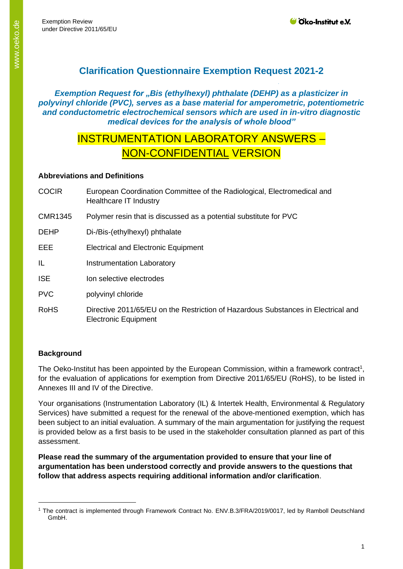# **Clarification Questionnaire Exemption Request 2021-2**

*Exemption Request for "Bis (ethylhexyl) phthalate (DEHP) as a plasticizer in polyvinyl chloride (PVC), serves as a base material for amperometric, potentiometric and conductometric electrochemical sensors which are used in in-vitro diagnostic medical devices for the analysis of whole blood"*

# INSTRUMENTATION LABORATORY ANSWERS – NON-CONFIDENTIAL VERSION

# **Abbreviations and Definitions**

- COCIR European Coordination Committee of the Radiological, Electromedical and Healthcare IT Industry
- CMR1345 Polymer resin that is discussed as a potential substitute for PVC
- DEHP Di-/Bis-(ethylhexyl) phthalate
- EEE Electrical and Electronic Equipment
- IL Instrumentation Laboratory
- ISE Ion selective electrodes
- PVC polyvinyl chloride
- RoHS Directive 2011/65/EU on the Restriction of Hazardous Substances in Electrical and Electronic Equipment

# **Background**

The Oeko-Institut has been appointed by the European Commission, within a framework contract<sup>1</sup>, for the evaluation of applications for exemption from Directive 2011/65/EU (RoHS), to be listed in Annexes III and IV of the Directive.

Your organisations (Instrumentation Laboratory (IL) & Intertek Health, Environmental & Regulatory Services) have submitted a request for the renewal of the above-mentioned exemption, which has been subject to an initial evaluation. A summary of the main argumentation for justifying the request is provided below as a first basis to be used in the stakeholder consultation planned as part of this assessment.

**Please read the summary of the argumentation provided to ensure that your line of argumentation has been understood correctly and provide answers to the questions that follow that address aspects requiring additional information and/or clarification**.

<sup>1</sup> The contract is implemented through Framework Contract No. ENV.B.3/FRA/2019/0017, led by Ramboll Deutschland GmbH.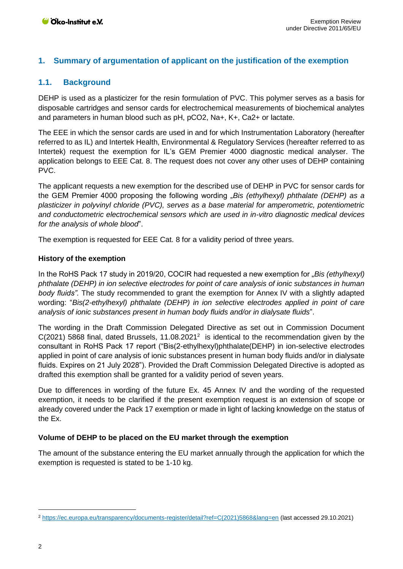## **1. Summary of argumentation of applicant on the justification of the exemption**

## **1.1. Background**

DEHP is used as a plasticizer for the resin formulation of PVC. This polymer serves as a basis for disposable cartridges and sensor cards for electrochemical measurements of biochemical analytes and parameters in human blood such as pH, pCO2, Na+, K+, Ca2+ or lactate.

The EEE in which the sensor cards are used in and for which Instrumentation Laboratory (hereafter referred to as IL) and Intertek Health, Environmental & Regulatory Services (hereafter referred to as Intertek) request the exemption for IL's GEM Premier 4000 diagnostic medical analyser. The application belongs to EEE Cat. 8. The request does not cover any other uses of DEHP containing PVC.

The applicant requests a new exemption for the described use of DEHP in PVC for sensor cards for the GEM Premier 4000 proposing the following wording "Bis (ethylhexyl) phthalate (DEHP) as a *plasticizer in polyvinyl chloride (PVC), serves as a base material for amperometric, potentiometric and conductometric electrochemical sensors which are used in in-vitro diagnostic medical devices for the analysis of whole blood*".

The exemption is requested for EEE Cat. 8 for a validity period of three years.

#### **History of the exemption**

In the RoHS Pack 17 study in 2019/20, COCIR had requested a new exemption for "*Bis (ethylhexyl) phthalate (DEHP) in ion selective electrodes for point of care analysis of ionic substances in human body fluids".* The study recommended to grant the exemption for Annex IV with a slightly adapted wording: "*Bis(2-ethylhexyl) phthalate (DEHP) in ion selective electrodes applied in point of care analysis of ionic substances present in human body fluids and/or in dialysate fluids*".

The wording in the Draft Commission Delegated Directive as set out in Commission Document  $C(2021)$  5868 final, dated Brussels, 11.08.2021<sup>2</sup> is identical to the recommendation given by the consultant in RoHS Pack 17 report ("Bis(2-ethylhexyl)phthalate(DEHP) in ion-selective electrodes applied in point of care analysis of ionic substances present in human body fluids and/or in dialysate fluids. Expires on 21 July 2028"). Provided the Draft Commission Delegated Directive is adopted as drafted this exemption shall be granted for a validity period of seven years.

Due to differences in wording of the future Ex. 45 Annex IV and the wording of the requested exemption, it needs to be clarified if the present exemption request is an extension of scope or already covered under the Pack 17 exemption or made in light of lacking knowledge on the status of the Ex.

#### **Volume of DEHP to be placed on the EU market through the exemption**

The amount of the substance entering the EU market annually through the application for which the exemption is requested is stated to be 1-10 kg.

<sup>2</sup> [https://ec.europa.eu/transparency/documents-register/detail?ref=C\(2021\)5868&lang=en](https://ec.europa.eu/transparency/documents-register/detail?ref=C(2021)5868&lang=en) (last accessed 29.10.2021)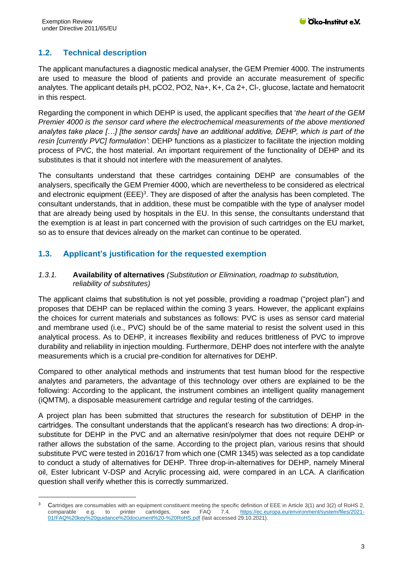# **1.2. Technical description**

The applicant manufactures a diagnostic medical analyser, the GEM Premier 4000. The instruments are used to measure the blood of patients and provide an accurate measurement of specific analytes. The applicant details pH, pCO2, PO2, Na+, K+, Ca 2+, Cl-, glucose, lactate and hematocrit in this respect.

Regarding the component in which DEHP is used, the applicant specifies that '*the heart of the GEM Premier 4000 is the sensor card where the electrochemical measurements of the above mentioned analytes take place […] [the sensor cards] have an additional additive, DEHP, which is part of the resin [currently PVC] formulation'*: DEHP functions as a plasticizer to facilitate the injection molding process of PVC, the host material. An important requirement of the functionality of DEHP and its substitutes is that it should not interfere with the measurement of analytes.

The consultants understand that these cartridges containing DEHP are consumables of the analysers, specifically the GEM Premier 4000, which are nevertheless to be considered as electrical and electronic equipment  $(EEE)^3$ . They are disposed of after the analysis has been completed. The consultant understands, that in addition, these must be compatible with the type of analyser model that are already being used by hospitals in the EU. In this sense, the consultants understand that the exemption is at least in part concerned with the provision of such cartridges on the EU market, so as to ensure that devices already on the market can continue to be operated.

## **1.3. Applicant's justification for the requested exemption**

### *1.3.1.* **Availability of alternatives** *(Substitution or Elimination, roadmap to substitution, reliability of substitutes)*

The applicant claims that substitution is not yet possible, providing a roadmap ("project plan") and proposes that DEHP can be replaced within the coming 3 years. However, the applicant explains the choices for current materials and substances as follows: PVC is uses as sensor card material and membrane used (i.e., PVC) should be of the same material to resist the solvent used in this analytical process. As to DEHP, it increases flexibility and reduces brittleness of PVC to improve durability and reliability in injection moulding. Furthermore, DEHP does not interfere with the analyte measurements which is a crucial pre-condition for alternatives for DEHP.

Compared to other analytical methods and instruments that test human blood for the respective analytes and parameters, the advantage of this technology over others are explained to be the following: According to the applicant, the instrument combines an intelligent quality management (iQMTM), a disposable measurement cartridge and regular testing of the cartridges.

A project plan has been submitted that structures the research for substitution of DEHP in the cartridges. The consultant understands that the applicant's research has two directions: A drop-insubstitute for DEHP in the PVC and an alternative resin/polymer that does not require DEHP or rather allows the substation of the same. According to the project plan, various resins that should substitute PVC were tested in 2016/17 from which one (CMR 1345) was selected as a top candidate to conduct a study of alternatives for DEHP. Three drop-in-alternatives for DEHP, namely Mineral oil, Ester lubricant V-DSP and Acrylic processing aid, were compared in an LCA. A clarification question shall verify whether this is correctly summarized.

<sup>&</sup>lt;sup>3</sup> Cartridges are consumables with an equipment constituent meeting the specific definition of EEE in Article 3(1) and 3(2) of RoHS 2, comparable e.g. to printer cartridges, see FAQ 7.4. [https://ec.europa.eu/environment/system/files/2021-](https://ec.europa.eu/environment/system/files/2021-01/FAQ%20key%20guidance%20document%20-%20RoHS.pdf) [01/FAQ%20key%20guidance%20document%20-%20RoHS.pdf](https://ec.europa.eu/environment/system/files/2021-01/FAQ%20key%20guidance%20document%20-%20RoHS.pdf) (last accessed 29.10.2021).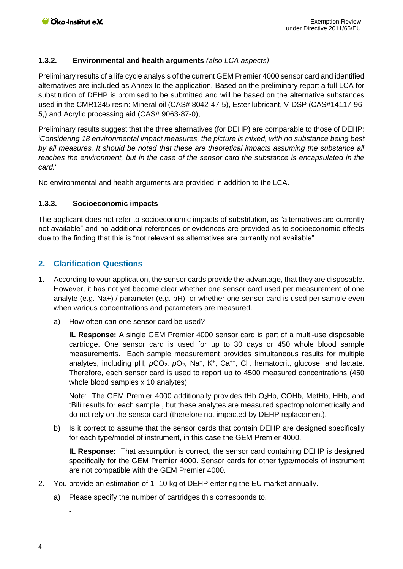### **1.3.2. Environmental and health arguments** *(also LCA aspects)*

Preliminary results of a life cycle analysis of the current GEM Premier 4000 sensor card and identified alternatives are included as Annex to the application. Based on the preliminary report a full LCA for substitution of DEHP is promised to be submitted and will be based on the alternative substances used in the CMR1345 resin: Mineral oil (CAS# 8042-47-5), Ester lubricant, V-DSP (CAS#14117-96- 5,) and Acrylic processing aid (CAS# 9063-87-0),

Preliminary results suggest that the three alternatives (for DEHP) are comparable to those of DEHP: '*Considering 18 environmental impact measures, the picture is mixed, with no substance being best by all measures. It should be noted that these are theoretical impacts assuming the substance all reaches the environment, but in the case of the sensor card the substance is encapsulated in the card.*'

No environmental and health arguments are provided in addition to the LCA.

## **1.3.3. Socioeconomic impacts**

The applicant does not refer to socioeconomic impacts of substitution, as "alternatives are currently not available" and no additional references or evidences are provided as to socioeconomic effects due to the finding that this is "not relevant as alternatives are currently not available".

## **2. Clarification Questions**

- 1. According to your application, the sensor cards provide the advantage, that they are disposable. However, it has not yet become clear whether one sensor card used per measurement of one analyte (e.g. Na+) / parameter (e.g. pH), or whether one sensor card is used per sample even when various concentrations and parameters are measured.
	- a) How often can one sensor card be used?

**IL Response:** A single GEM Premier 4000 sensor card is part of a multi-use disposable cartridge. One sensor card is used for up to 30 days or 450 whole blood sample measurements. Each sample measurement provides simultaneous results for multiple analytes, including pH,  $pCO<sub>2</sub>$ ,  $pO<sub>2</sub>$ , Na<sup>+</sup>, K<sup>+</sup>, Ca<sup>++</sup>, Cl<sup>-</sup>, hematocrit, glucose, and lactate. Therefore, each sensor card is used to report up to 4500 measured concentrations (450 whole blood samples x 10 analytes).

Note: The GEM Premier 4000 additionally provides tHb O<sub>2</sub>Hb, COHb, MetHb, HHb, and tBili results for each sample , but these analytes are measured spectrophotometrically and do not rely on the sensor card (therefore not impacted by DEHP replacement).

b) Is it correct to assume that the sensor cards that contain DEHP are designed specifically for each type/model of instrument, in this case the GEM Premier 4000.

**IL Response:** That assumption is correct, the sensor card containing DEHP is designed specifically for the GEM Premier 4000. Sensor cards for other type/models of instrument are not compatible with the GEM Premier 4000.

- 2. You provide an estimation of 1- 10 kg of DEHP entering the EU market annually.
	- a) Please specify the number of cartridges this corresponds to.

**-**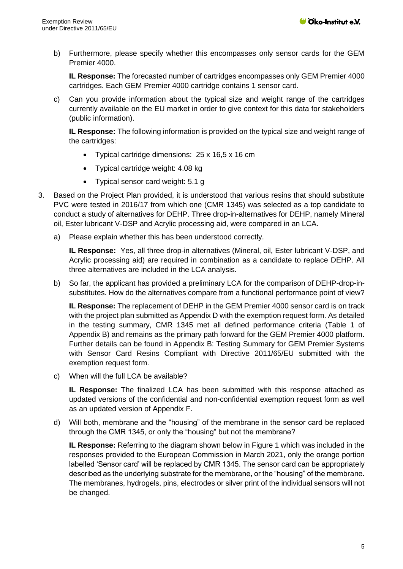b) Furthermore, please specify whether this encompasses only sensor cards for the GEM Premier 4000.

**IL Response:** The forecasted number of cartridges encompasses only GEM Premier 4000 cartridges. Each GEM Premier 4000 cartridge contains 1 sensor card.

c) Can you provide information about the typical size and weight range of the cartridges currently available on the EU market in order to give context for this data for stakeholders (public information).

**IL Response:** The following information is provided on the typical size and weight range of the cartridges:

- Typical cartridge dimensions: 25 x 16,5 x 16 cm
- Typical cartridge weight: 4.08 kg
- Typical sensor card weight: 5.1 g
- 3. Based on the Project Plan provided, it is understood that various resins that should substitute PVC were tested in 2016/17 from which one (CMR 1345) was selected as a top candidate to conduct a study of alternatives for DEHP. Three drop-in-alternatives for DEHP, namely Mineral oil, Ester lubricant V-DSP and Acrylic processing aid, were compared in an LCA.
	- a) Please explain whether this has been understood correctly.

**IL Response:** Yes, all three drop-in alternatives (Mineral, oil, Ester lubricant V-DSP, and Acrylic processing aid) are required in combination as a candidate to replace DEHP. All three alternatives are included in the LCA analysis.

b) So far, the applicant has provided a preliminary LCA for the comparison of DEHP-drop-insubstitutes. How do the alternatives compare from a functional performance point of view?

**IL Response:** The replacement of DEHP in the GEM Premier 4000 sensor card is on track with the project plan submitted as Appendix D with the exemption request form. As detailed in the testing summary, CMR 1345 met all defined performance criteria (Table 1 of Appendix B) and remains as the primary path forward for the GEM Premier 4000 platform. Further details can be found in Appendix B: Testing Summary for GEM Premier Systems with Sensor Card Resins Compliant with Directive 2011/65/EU submitted with the exemption request form.

c) When will the full LCA be available?

**IL Response:** The finalized LCA has been submitted with this response attached as updated versions of the confidential and non-confidential exemption request form as well as an updated version of Appendix F.

d) Will both, membrane and the "housing" of the membrane in the sensor card be replaced through the CMR 1345, or only the "housing" but not the membrane?

**IL Response:** Referring to the diagram shown below in Figure 1 which was included in the responses provided to the European Commission in March 2021, only the orange portion labelled 'Sensor card' will be replaced by CMR 1345. The sensor card can be appropriately described as the underlying substrate for the membrane, or the "housing" of the membrane. The membranes, hydrogels, pins, electrodes or silver print of the individual sensors will not be changed.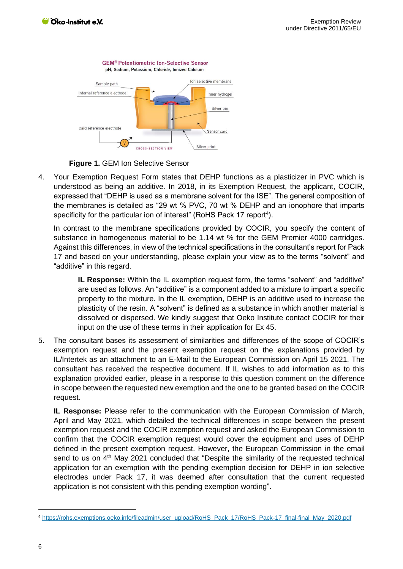

**Figure 1.** GEM Ion Selective Sensor

4. Your Exemption Request Form states that DEHP functions as a plasticizer in PVC which is understood as being an additive. In 2018, in its Exemption Request, the applicant, COCIR, expressed that "DEHP is used as a membrane solvent for the ISE". The general composition of the membranes is detailed as "29 wt % PVC, 70 wt % DEHP and an ionophore that imparts specificity for the particular ion of interest" (RoHS Pack 17 report<sup>4</sup>).

In contrast to the membrane specifications provided by COCIR, you specify the content of substance in homogeneous material to be 1.14 wt % for the GEM Premier 4000 cartridges. Against this differences, in view of the technical specifications in the consultant's report for Pack 17 and based on your understanding, please explain your view as to the terms "solvent" and "additive" in this regard.

**IL Response:** Within the IL exemption request form, the terms "solvent" and "additive" are used as follows. An "additive" is a component added to a mixture to impart a specific property to the mixture. In the IL exemption, DEHP is an additive used to increase the plasticity of the resin. A "solvent" is defined as a substance in which another material is dissolved or dispersed. We kindly suggest that Oeko Institute contact COCIR for their input on the use of these terms in their application for Ex 45.

5. The consultant bases its assessment of similarities and differences of the scope of COCIR's exemption request and the present exemption request on the explanations provided by IL/Intertek as an attachment to an E-Mail to the European Commission on April 15 2021. The consultant has received the respective document. If IL wishes to add information as to this explanation provided earlier, please in a response to this question comment on the difference in scope between the requested new exemption and the one to be granted based on the COCIR request.

**IL Response:** Please refer to the communication with the European Commission of March, April and May 2021, which detailed the technical differences in scope between the present exemption request and the COCIR exemption request and asked the European Commission to confirm that the COCIR exemption request would cover the equipment and uses of DEHP defined in the present exemption request. However, the European Commission in the email send to us on 4<sup>th</sup> May 2021 concluded that "Despite the similarity of the requested technical application for an exemption with the pending exemption decision for DEHP in ion selective electrodes under Pack 17, it was deemed after consultation that the current requested application is not consistent with this pending exemption wording".

<sup>4</sup> [https://rohs.exemptions.oeko.info/fileadmin/user\\_upload/RoHS\\_Pack\\_17/RoHS\\_Pack-17\\_final-final\\_May\\_2020.pdf](https://rohs.exemptions.oeko.info/fileadmin/user_upload/RoHS_Pack_17/RoHS_Pack-17_final-final_May_2020.pdf)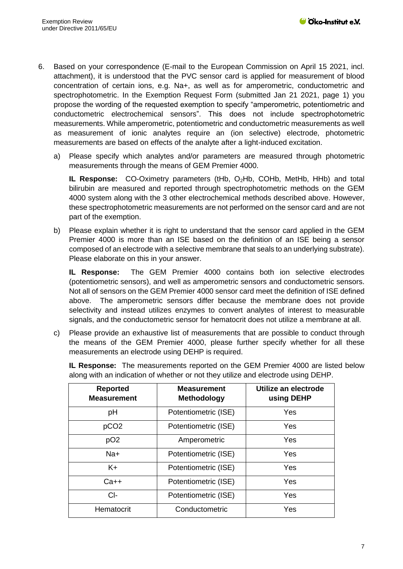- 6. Based on your correspondence (E-mail to the European Commission on April 15 2021, incl. attachment), it is understood that the PVC sensor card is applied for measurement of blood concentration of certain ions, e.g. Na+, as well as for amperometric, conductometric and spectrophotometric. In the Exemption Request Form (submitted Jan 21 2021, page 1) you propose the wording of the requested exemption to specify "amperometric, potentiometric and conductometric electrochemical sensors". This does not include spectrophotometric measurements. While amperometric, potentiometric and conductometric measurements as well as measurement of ionic analytes require an (ion selective) electrode, photometric measurements are based on effects of the analyte after a light-induced excitation.
	- a) Please specify which analytes and/or parameters are measured through photometric measurements through the means of GEM Premier 4000.

**IL Response:** CO-Oximetry parameters (tHb, O2Hb, COHb, MetHb, HHb) and total bilirubin are measured and reported through spectrophotometric methods on the GEM 4000 system along with the 3 other electrochemical methods described above. However, these spectrophotometric measurements are not performed on the sensor card and are not part of the exemption.

b) Please explain whether it is right to understand that the sensor card applied in the GEM Premier 4000 is more than an ISE based on the definition of an ISE being a sensor composed of an electrode with a selective membrane that seals to an underlying substrate). Please elaborate on this in your answer.

**IL Response:** The GEM Premier 4000 contains both ion selective electrodes (potentiometric sensors), and well as amperometric sensors and conductometric sensors. Not all of sensors on the GEM Premier 4000 sensor card meet the definition of ISE defined above. The amperometric sensors differ because the membrane does not provide selectivity and instead utilizes enzymes to convert analytes of interest to measurable signals, and the conductometric sensor for hematocrit does not utilize a membrane at all.

c) Please provide an exhaustive list of measurements that are possible to conduct through the means of the GEM Premier 4000, please further specify whether for all these measurements an electrode using DEHP is required.

**IL Response:** The measurements reported on the GEM Premier 4000 are listed below along with an indication of whether or not they utilize and electrode using DEHP.

| <b>Reported</b><br><b>Measurement</b> | <b>Measurement</b><br>Methodology | Utilize an electrode<br>using DEHP |
|---------------------------------------|-----------------------------------|------------------------------------|
| pH                                    | Potentiometric (ISE)              | Yes                                |
| pCO <sub>2</sub>                      | Potentiometric (ISE)              | Yes                                |
| pO <sub>2</sub>                       | Amperometric                      | Yes                                |
| $Na+$                                 | Potentiometric (ISE)              | Yes                                |
| $K +$                                 | Potentiometric (ISE)              | Yes                                |
| $Ca++$                                | Potentiometric (ISE)              | Yes                                |
| $Cl-$                                 | Potentiometric (ISE)              | Yes                                |
| Hematocrit                            | Conductometric                    | Yes                                |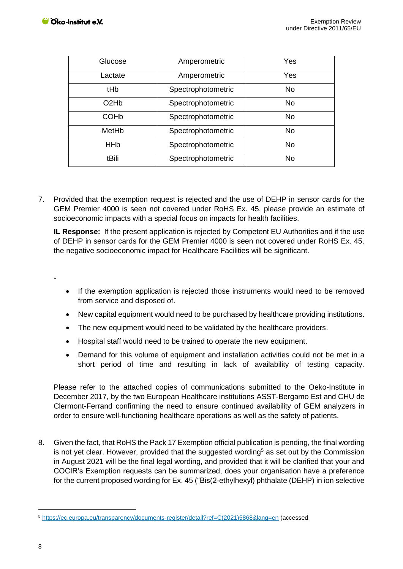| Glucose                       | Amperometric       | Yes       |
|-------------------------------|--------------------|-----------|
| Lactate                       | Amperometric       | Yes       |
| tHb                           | Spectrophotometric | <b>No</b> |
| O <sub>2</sub> H <sub>b</sub> | Spectrophotometric | <b>No</b> |
| <b>COH<sub>b</sub></b>        | Spectrophotometric | <b>No</b> |
| MetHb                         | Spectrophotometric | <b>No</b> |
| <b>HH<sub>b</sub></b>         | Spectrophotometric | <b>No</b> |
| tBili                         | Spectrophotometric | <b>No</b> |

7. Provided that the exemption request is rejected and the use of DEHP in sensor cards for the GEM Premier 4000 is seen not covered under RoHS Ex. 45, please provide an estimate of socioeconomic impacts with a special focus on impacts for health facilities.

**IL Response:** If the present application is rejected by Competent EU Authorities and if the use of DEHP in sensor cards for the GEM Premier 4000 is seen not covered under RoHS Ex. 45, the negative socioeconomic impact for Healthcare Facilities will be significant.

- If the exemption application is rejected those instruments would need to be removed from service and disposed of.
- New capital equipment would need to be purchased by healthcare providing institutions.
- The new equipment would need to be validated by the healthcare providers.
- Hospital staff would need to be trained to operate the new equipment.
- Demand for this volume of equipment and installation activities could not be met in a short period of time and resulting in lack of availability of testing capacity.

Please refer to the attached copies of communications submitted to the Oeko-Institute in December 2017, by the two European Healthcare institutions ASST-Bergamo Est and CHU de Clermont-Ferrand confirming the need to ensure continued availability of GEM analyzers in order to ensure well-functioning healthcare operations as well as the safety of patients.

8. Given the fact, that RoHS the Pack 17 Exemption official publication is pending, the final wording is not yet clear. However, provided that the suggested wording<sup>5</sup> as set out by the Commission in August 2021 will be the final legal wording, and provided that it will be clarified that your and COCIR's Exemption requests can be summarized, does your organisation have a preference for the current proposed wording for Ex. 45 ("Bis(2-ethylhexyl) phthalate (DEHP) in ion selective

-

<sup>5</sup> [https://ec.europa.eu/transparency/documents-register/detail?ref=C\(2021\)5868&lang=en](https://ec.europa.eu/transparency/documents-register/detail?ref=C(2021)5868&lang=en) (accessed